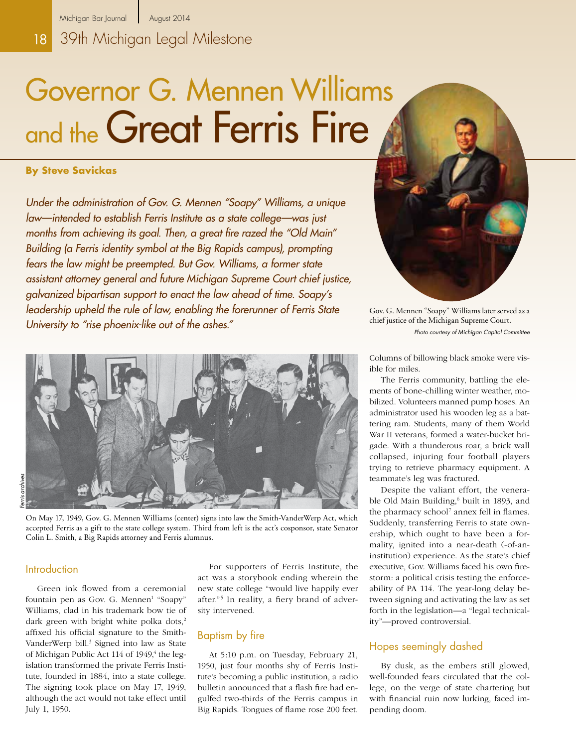18 39th Michigan Legal Milestone

# Governor G. Mennen Williams and the Great Ferris Fire

# **By Steve Savickas**

*Under the administration of Gov. G. Mennen "Soapy" Williams, a unique law—intended to establish Ferris Institute as a state college—was just months from achieving its goal. Then, a great fire razed the "Old Main" Building (a Ferris identity symbol at the Big Rapids campus), prompting fears the law might be preempted. But Gov. Williams, a former state assistant attorney general and future Michigan Supreme Court chief justice, galvanized bipartisan support to enact the law ahead of time. Soapy's leadership upheld the rule of law, enabling the forerunner of Ferris State University to "rise phoenix-like out of the ashes."*



On May 17, 1949, Gov. G. Mennen Williams (center) signs into law the Smith-VanderWerp Act, which accepted Ferris as a gift to the state college system. Third from left is the act's cosponsor, state Senator Colin L. Smith, a Big Rapids attorney and Ferris alumnus.

#### **Introduction**

Green ink flowed from a ceremonial fountain pen as Gov. G. Mennen<sup>1</sup> "Soapy" Williams, clad in his trademark bow tie of dark green with bright white polka dots,<sup>2</sup> affixed his official signature to the Smith-VanderWerp bill.<sup>3</sup> Signed into law as State of Michigan Public Act 114 of 1949,<sup>4</sup> the legislation transformed the private Ferris Institute, founded in 1884, into a state college. The signing took place on May 17, 1949, although the act would not take effect until July 1, 1950.

For supporters of Ferris Institute, the act was a storybook ending wherein the new state college "would live happily ever after."<sup>5</sup> In reality, a fiery brand of adversity intervened.

#### Baptism by fire

At 5:10 p.m. on Tuesday, February 21, 1950, just four months shy of Ferris Institute's becoming a public institution, a radio bulletin announced that a flash fire had engulfed two-thirds of the Ferris campus in Big Rapids. Tongues of flame rose 200 feet.



Gov. G. Mennen "Soapy" Williams later served as a chief justice of the Michigan Supreme Court.

*Photo courtesy of Michigan Capitol Committee*

Columns of billowing black smoke were visible for miles.

The Ferris community, battling the elements of bone-chilling winter weather, mobilized. Volunteers manned pump hoses. An administrator used his wooden leg as a battering ram. Students, many of them World War II veterans, formed a water-bucket brigade. With a thunderous roar, a brick wall collapsed, injuring four football players trying to retrieve pharmacy equipment. A teammate's leg was fractured.

Despite the valiant effort, the venerable Old Main Building,<sup>6</sup> built in 1893, and the pharmacy school<sup>7</sup> annex fell in flames. Suddenly, transferring Ferris to state ownership, which ought to have been a formality, ignited into a near-death (-of-aninstitution) experience. As the state's chief executive, Gov. Williams faced his own firestorm: a political crisis testing the enforceability of PA 114. The year-long delay between signing and activating the law as set forth in the legislation—a "legal technicality"—proved controversial.

#### Hopes seemingly dashed

By dusk, as the embers still glowed, well-founded fears circulated that the college, on the verge of state chartering but with financial ruin now lurking, faced impending doom.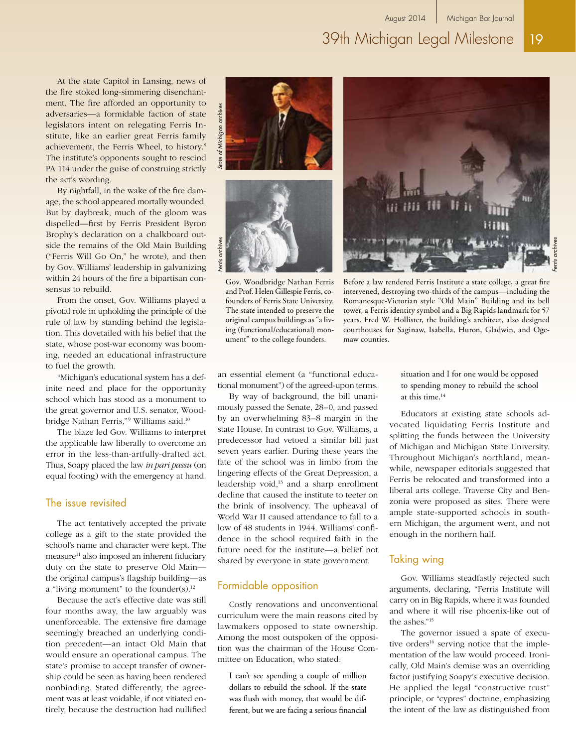# 39th Michigan Legal Milestone 19

At the state Capitol in Lansing, news of the fire stoked long-simmering disenchantment. The fire afforded an opportunity to adversaries—a formidable faction of state legislators intent on relegating Ferris Institute, like an earlier great Ferris family achievement, the Ferris Wheel, to history.8 The institute's opponents sought to rescind PA 114 under the guise of construing strictly the act's wording.

By nightfall, in the wake of the fire damage, the school appeared mortally wounded. But by daybreak, much of the gloom was dispelled—first by Ferris President Byron Brophy's declaration on a chalkboard outside the remains of the Old Main Building ("Ferris Will Go On," he wrote), and then by Gov. Williams' leadership in galvanizing within 24 hours of the fire a bipartisan consensus to rebuild.

From the onset, Gov. Williams played a pivotal role in upholding the principle of the rule of law by standing behind the legislation. This dovetailed with his belief that the state, whose post-war economy was booming, needed an educational infrastructure to fuel the growth.

"Michigan's educational system has a definite need and place for the opportunity school which has stood as a monument to the great governor and U.S. senator, Woodbridge Nathan Ferris,"<sup>9</sup> Williams said.<sup>10</sup>

The blaze led Gov. Williams to interpret the applicable law liberally to overcome an error in the less-than-artfully-drafted act. Thus, Soapy placed the law *in pari passu* (on equal footing) with the emergency at hand.

### The issue revisited

The act tentatively accepted the private college as a gift to the state provided the school's name and character were kept. The measure<sup>11</sup> also imposed an inherent fiduciary duty on the state to preserve Old Main the original campus's flagship building—as a "living monument" to the founder(s).12

Because the act's effective date was still four months away, the law arguably was unenforceable. The extensive fire damage seemingly breached an underlying condition precedent—an intact Old Main that would ensure an operational campus. The state's promise to accept transfer of ownership could be seen as having been rendered nonbinding. Stated differently, the agreement was at least voidable, if not vitiated entirely, because the destruction had nullified



Gov. Woodbridge Nathan Ferris and Prof. Helen Gillespie Ferris, cofounders of Ferris State University. The state intended to preserve the original campus buildings as "a living (functional/educational) monument" to the college founders.

Before a law rendered Ferris Institute a state college, a great fire intervened, destroying two-thirds of the campus—including the Romanesque-Victorian style "Old Main" Building and its bell tower, a Ferris identity symbol and a Big Rapids landmark for 57 years. Fred W. Hollister, the building's architect, also designed courthouses for Saginaw, Isabella, Huron, Gladwin, and Ogemaw counties.

an essential element (a "functional educational monument") of the agreed-upon terms.

By way of background, the bill unanimously passed the Senate, 28–0, and passed by an overwhelming 83–8 margin in the state House. In contrast to Gov. Williams, a predecessor had vetoed a similar bill just seven years earlier. During these years the fate of the school was in limbo from the lingering effects of the Great Depression, a leadership void,<sup>13</sup> and a sharp enrollment decline that caused the institute to teeter on the brink of insolvency. The upheaval of World War II caused attendance to fall to a low of 48 students in 1944. Williams' confidence in the school required faith in the future need for the institute—a belief not shared by everyone in state government.

# Formidable opposition

Costly renovations and unconventional curriculum were the main reasons cited by lawmakers opposed to state ownership. Among the most outspoken of the opposition was the chairman of the House Committee on Education, who stated:

I can't see spending a couple of million dollars to rebuild the school. If the state was flush with money, that would be different, but we are facing a serious financial

situation and I for one would be opposed to spending money to rebuild the school at this time.14

Educators at existing state schools advocated liquidating Ferris Institute and splitting the funds between the University of Michigan and Michigan State University. Throughout Michigan's northland, meanwhile, newspaper editorials suggested that Ferris be relocated and transformed into a liberal arts college. Traverse City and Benzonia were proposed as sites. There were ample state-supported schools in southern Michigan, the argument went, and not enough in the northern half.

#### Taking wing

Gov. Williams steadfastly rejected such arguments, declaring, "Ferris Institute will carry on in Big Rapids, where it was founded and where it will rise phoenix-like out of the ashes."15

The governor issued a spate of executive orders<sup>16</sup> serving notice that the implementation of the law would proceed. Ironically, Old Main's demise was an overriding factor justifying Soapy's executive decision. He applied the legal "constructive trust" principle, or "cypres" doctrine, emphasizing the intent of the law as distinguished from

*Ferris archives*